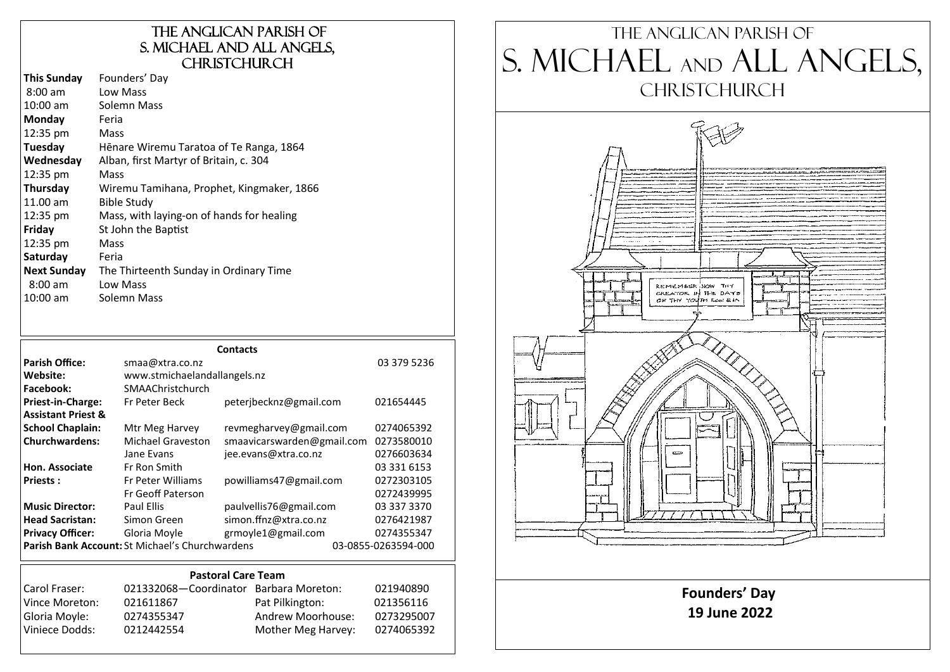# The Anglican parish of S. Michael and All Angels, **CHRISTCHURCH**

| Wiremu Tamihana, Prophet, Kingmaker, 1866 |
|-------------------------------------------|

| <b>Contacts</b>               |                                                 |                            |                     |             |  |
|-------------------------------|-------------------------------------------------|----------------------------|---------------------|-------------|--|
| <b>Parish Office:</b>         | smaa@xtra.co.nz                                 |                            |                     | 03 379 5236 |  |
| Website:                      | www.stmichaelandallangels.nz                    |                            |                     |             |  |
| Facebook:                     | SMAAChristchurch                                |                            |                     |             |  |
| Priest-in-Charge:             | Fr Peter Beck                                   | peterjbecknz@gmail.com     |                     | 021654445   |  |
| <b>Assistant Priest &amp;</b> |                                                 |                            |                     |             |  |
| <b>School Chaplain:</b>       | Mtr Meg Harvey                                  | revmegharvey@gmail.com     |                     | 0274065392  |  |
| <b>Churchwardens:</b>         | <b>Michael Graveston</b>                        | smaavicarswarden@gmail.com |                     | 0273580010  |  |
|                               | Jane Evans                                      | jee.evans@xtra.co.nz       |                     | 0276603634  |  |
| Hon. Associate                | Fr Ron Smith                                    |                            |                     | 03 331 6153 |  |
| <b>Priests:</b>               | <b>Fr Peter Williams</b>                        | powilliams47@gmail.com     |                     | 0272303105  |  |
|                               | Fr Geoff Paterson                               |                            |                     | 0272439995  |  |
| <b>Music Director:</b>        | Paul Ellis                                      | paulvellis76@gmail.com     |                     | 03 337 3370 |  |
| <b>Head Sacristan:</b>        | Simon Green                                     | simon.ffnz@xtra.co.nz      |                     | 0276421987  |  |
| <b>Privacy Officer:</b>       | Gloria Moyle                                    | grmoyle1@gmail.com         |                     | 0274355347  |  |
|                               | Parish Bank Account: St Michael's Churchwardens |                            | 03-0855-0263594-000 |             |  |

# **Pastoral Care Team** Carol Fraser: 021332068—Coordinator Barbara Moreton: 021940890 Vince Moreton: 021611867 Pat Pilkington: 021356116<br>| Gloria Moyle: 0274355347 Andrew Moorhouse: 027329500 0274355347 Andrew Moorhouse: 0273295007 Viniece Dodds: 0212442554 Mother Meg Harvey: 0274065392

# The Anglican parish of S. Michael and All Angels, CHRISTCHURCH

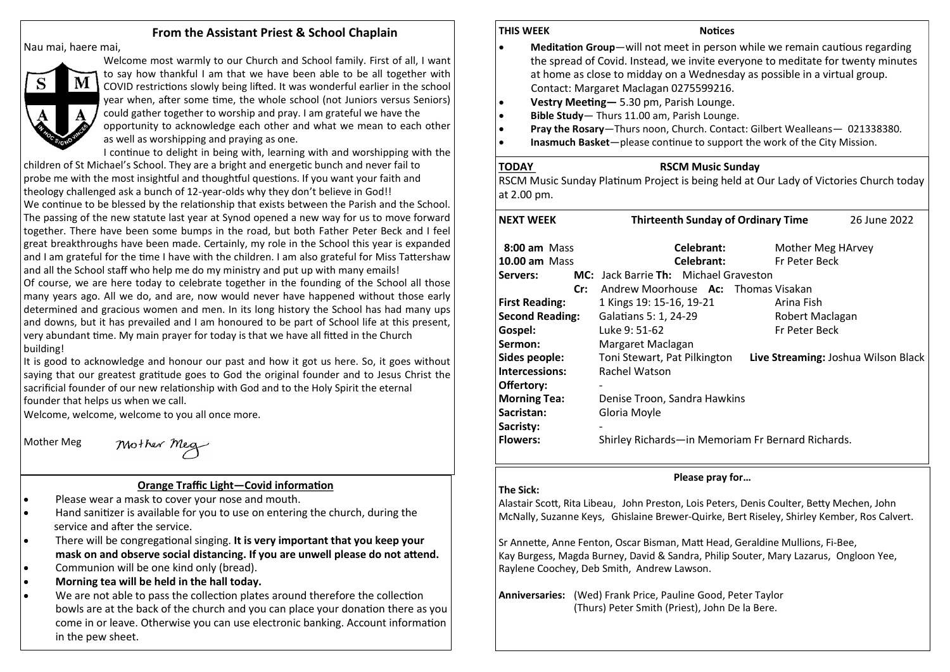# **From the Assistant Priest & School Chaplain**

Nau mai, haere mai,



Welcome most warmly to our Church and School family. First of all, I want to say how thankful I am that we have been able to be all together with COVID restrictions slowly being lifted. It was wonderful earlier in the school year when, after some time, the whole school (not Juniors versus Seniors) could gather together to worship and pray. I am grateful we have the opportunity to acknowledge each other and what we mean to each other

as well as worshipping and praying as one.

I continue to delight in being with, learning with and worshipping with the children of St Michael's School. They are a bright and energetic bunch and never fail to probe me with the most insightful and thoughtful questions. If you want your faith and theology challenged ask a bunch of 12-year-olds why they don't believe in God!! We continue to be blessed by the relationship that exists between the Parish and the School. The passing of the new statute last year at Synod opened a new way for us to move forward together. There have been some bumps in the road, but both Father Peter Beck and I feel great breakthroughs have been made. Certainly, my role in the School this year is expanded and I am grateful for the time I have with the children. I am also grateful for Miss Tattershaw and all the School staff who help me do my ministry and put up with many emails!

Of course, we are here today to celebrate together in the founding of the School all those many years ago. All we do, and are, now would never have happened without those early determined and gracious women and men. In its long history the School has had many ups and downs, but it has prevailed and I am honoured to be part of School life at this present, very abundant time. My main prayer for today is that we have all fitted in the Church building!

It is good to acknowledge and honour our past and how it got us here. So, it goes without saying that our greatest gratitude goes to God the original founder and to Jesus Christ the sacrificial founder of our new relationship with God and to the Holy Spirit the eternal founder that helps us when we call.

Welcome, welcome, welcome to you all once more.

Mother Meg

Mother Meg

# **Orange Traffic Light—Covid information**

- Please wear a mask to cover your nose and mouth.
- Hand sanitizer is available for you to use on entering the church, during the service and after the service.
- There will be congregational singing. **It is very important that you keep your mask on and observe social distancing. If you are unwell please do not attend.**
- Communion will be one kind only (bread).
- **Morning tea will be held in the hall today.**
- We are not able to pass the collection plates around therefore the collection bowls are at the back of the church and you can place your donation there as you come in or leave. Otherwise you can use electronic banking. Account information in the pew sheet.

# **THIS WEEK Notices**

- **Meditation Group**—will not meet in person while we remain cautious regarding the spread of Covid. Instead, we invite everyone to meditate for twenty minutes at home as close to midday on a Wednesday as possible in a virtual group. Contact: Margaret Maclagan 0275599216.
- **Vestry Meeting—** 5.30 pm, Parish Lounge.
- **Bible Study** Thurs 11.00 am, Parish Lounge.
- **Pray the Rosary**—Thurs noon, Church. Contact: Gilbert Wealleans— 021338380.
- **Inasmuch Basket**—please continue to support the work of the City Mission.

# **TODAY RSCM Music Sunday**

RSCM Music Sunday Platinum Project is being held at Our Lady of Victories Church today at 2.00 pm.

| <b>NEXT WEEK</b>       | <b>Thirteenth Sunday of Ordinary Time</b><br>26 June 2022 |                      |                                     |
|------------------------|-----------------------------------------------------------|----------------------|-------------------------------------|
| 8:00 am Mass           | Celebrant:                                                | Mother Meg HArvey    |                                     |
| <b>10.00 am Mass</b>   | Celebrant:                                                | <b>Fr Peter Beck</b> |                                     |
| Servers:               | MC: Jack Barrie Th: Michael Graveston                     |                      |                                     |
| Cr:                    | Andrew Moorhouse <b>Ac:</b> Thomas Visakan                |                      |                                     |
| <b>First Reading:</b>  | 1 Kings 19: 15-16, 19-21                                  | Arina Fish           |                                     |
| <b>Second Reading:</b> | Galatians 5: 1, 24-29                                     | Robert Maclagan      |                                     |
| Gospel:                | Luke 9: 51-62                                             | Fr Peter Beck        |                                     |
| Sermon:                | Margaret Maclagan                                         |                      |                                     |
| Sides people:          | Toni Stewart, Pat Pilkington                              |                      | Live Streaming: Joshua Wilson Black |
| Intercessions:         | Rachel Watson                                             |                      |                                     |
| Offertory:             |                                                           |                      |                                     |
| <b>Morning Tea:</b>    | Denise Troon, Sandra Hawkins                              |                      |                                     |
| Sacristan:             | Gloria Moyle                                              |                      |                                     |
| Sacristy:              |                                                           |                      |                                     |
| <b>Flowers:</b>        | Shirley Richards—in Memoriam Fr Bernard Richards.         |                      |                                     |

# **The Sick:** Alastair Scott, Rita Libeau, John Preston, Lois Peters, Denis Coulter, Betty Mechen, John

**Please pray for…**

McNally, Suzanne Keys, Ghislaine Brewer-Quirke, Bert Riseley, Shirley Kember, Ros Calvert.

Sr Annette, Anne Fenton, Oscar Bisman, Matt Head, Geraldine Mullions, Fi-Bee, Kay Burgess, Magda Burney, David & Sandra, Philip Souter, Mary Lazarus, Ongloon Yee, Raylene Coochey, Deb Smith, Andrew Lawson.

**Anniversaries:** (Wed) Frank Price, Pauline Good, Peter Taylor (Thurs) Peter Smith (Priest), John De la Bere.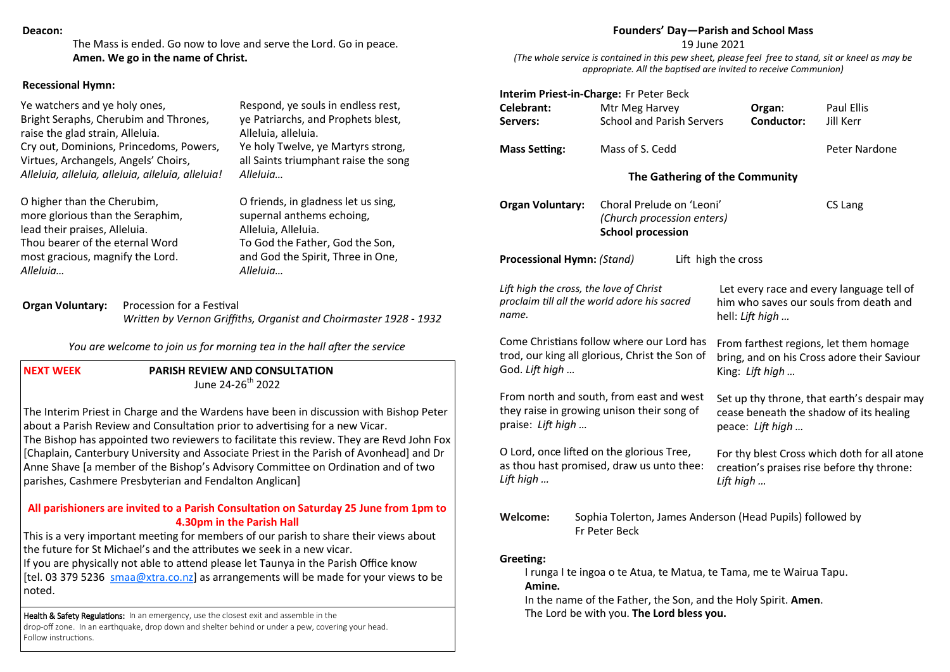#### **Deacon:**

The Mass is ended. Go now to love and serve the Lord. Go in peace. **Amen. We go in the name of Christ.** 

#### **Recessional Hymn:**

Ye watchers and ye holy ones, Bright Seraphs, Cherubim and Thrones, raise the glad strain, Alleluia. Cry out, Dominions, Princedoms, Powers, Virtues, Archangels, Angels' Choirs, *Alleluia, alleluia, alleluia, alleluia, alleluia!*

O higher than the Cherubim, more glorious than the Seraphim, lead their praises, Alleluia. Thou bearer of the eternal Word most gracious, magnify the Lord. *Alleluia…*

Respond, ye souls in endless rest, ye Patriarchs, and Prophets blest, Alleluia, alleluia. Ye holy Twelve, ye Martyrs strong, all Saints triumphant raise the song *Alleluia…*

O friends, in gladness let us sing, supernal anthems echoing, Alleluia, Alleluia. To God the Father, God the Son, and God the Spirit, Three in One, *Alleluia…*

**Organ Voluntary:** Procession for a Festival *Written by Vernon Griffiths, Organist and Choirmaster 1928 - 1932* 

*You are welcome to join us for morning tea in the hall after the service*

**NEXT WEEK PARISH REVIEW AND CONSULTATION**  $\mu$ lune 24-26<sup>th</sup> 2022

The Interim Priest in Charge and the Wardens have been in discussion with Bishop Peter about a Parish Review and Consultation prior to advertising for a new Vicar. The Bishop has appointed two reviewers to facilitate this review. They are Revd John Fox [Chaplain, Canterbury University and Associate Priest in the Parish of Avonhead] and Dr Anne Shave [a member of the Bishop's Advisory Committee on Ordination and of two parishes, Cashmere Presbyterian and Fendalton Anglican]

# **All parishioners are invited to a Parish Consultation on Saturday 25 June from 1pm to 4.30pm in the Parish Hall**

This is a very important meeting for members of our parish to share their views about the future for St Michael's and the attributes we seek in a new vicar.

If you are physically not able to attend please let Taunya in the Parish Office know [tel. 03 379 5236 [smaa@xtra.co.nz\]](mailto:smaa@xtra.co.nz) as arrangements will be made for your views to be noted.

**Health & Safety Regulations:** In an emergency, use the closest exit and assemble in the drop-off zone. In an earthquake, drop down and shelter behind or under a pew, covering your head. Follow instructions.

#### **Founders' Day—Parish and School Mass**

19 June 2021

*(The whole service is contained in this pew sheet, please feel free to stand, sit or kneel as may be appropriate. All the baptised are invited to receive Communion)*

| Celebrant:<br>Servers:                                                                                                                                                                                    | Mtr Meg Harvey           | <b>School and Parish Servers</b>                        |           | Organ:<br><b>Conductor:</b>                               | Paul Ellis<br>Jill Kerr                                                                    |
|-----------------------------------------------------------------------------------------------------------------------------------------------------------------------------------------------------------|--------------------------|---------------------------------------------------------|-----------|-----------------------------------------------------------|--------------------------------------------------------------------------------------------|
| <b>Mass Setting:</b>                                                                                                                                                                                      | Mass of S. Cedd          |                                                         |           |                                                           | Peter Nardone                                                                              |
|                                                                                                                                                                                                           |                          | The Gathering of the Community                          |           |                                                           |                                                                                            |
| <b>Organ Voluntary:</b>                                                                                                                                                                                   | <b>School procession</b> | Choral Prelude on 'Leoni'<br>(Church procession enters) |           |                                                           | CS Lang                                                                                    |
| Processional Hymn: (Stand)                                                                                                                                                                                |                          | Lift high the cross                                     |           |                                                           |                                                                                            |
| Lift high the cross, the love of Christ<br>proclaim till all the world adore his sacred<br>name.                                                                                                          |                          |                                                         |           | hell: Lift high                                           | Let every race and every language tell of<br>him who saves our souls from death and        |
| Come Christians follow where our Lord has<br>trod, our king all glorious, Christ the Son of<br>God. Lift high                                                                                             |                          |                                                         |           | King: Lift high                                           | From farthest regions, let them homage<br>bring, and on his Cross adore their Saviour      |
| From north and south, from east and west<br>they raise in growing unison their song of<br>praise: Lift high                                                                                               |                          |                                                         |           | peace: Lift high                                          | Set up thy throne, that earth's despair may<br>cease beneath the shadow of its healing     |
| O Lord, once lifted on the glorious Tree,<br>as thou hast promised, draw us unto thee:<br>Lift high                                                                                                       |                          |                                                         | Lift high |                                                           | For thy blest Cross which doth for all atone<br>creation's praises rise before thy throne: |
| Welcome:                                                                                                                                                                                                  | Fr Peter Beck            |                                                         |           | Sophia Tolerton, James Anderson (Head Pupils) followed by |                                                                                            |
| Greeting:<br>I runga I te ingoa o te Atua, te Matua, te Tama, me te Wairua Tapu.<br>Amine.<br>In the name of the Father, the Son, and the Holy Spirit. Amen.<br>The Lord be with you. The Lord bless you. |                          |                                                         |           |                                                           |                                                                                            |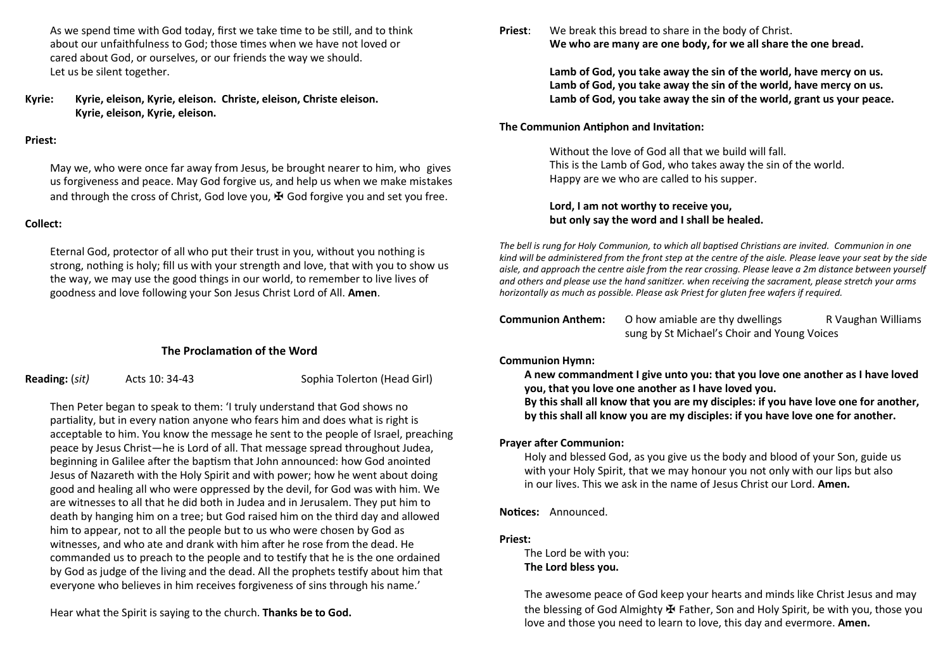As we spend time with God today, first we take time to be still, and to think about our unfaithfulness to God; those times when we have not loved or cared about God, or ourselves, or our friends the way we should. Let us be silent together.

**Kyrie: Kyrie, eleison, Kyrie, eleison. Christe, eleison, Christe eleison. Kyrie, eleison, Kyrie, eleison.**

#### **Priest:**

May we, who were once far away from Jesus, be brought nearer to him, who gives us forgiveness and peace. May God forgive us, and help us when we make mistakes and through the cross of Christ, God love you,  $\mathbf{\mathbf{\mathbf{\mathcal{F}}}}$  God forgive you and set you free.

### **Collect:**

Eternal God, protector of all who put their trust in you, without you nothing is strong, nothing is holy; fill us with your strength and love, that with you to show us the way, we may use the good things in our world, to remember to live lives of goodness and love following your Son Jesus Christ Lord of All. **Amen**.

# **The Proclamation of the Word**

**Reading:** (*sit)* Acts 10: 34-43 Sophia Tolerton (Head Girl)

Then Peter began to speak to them: 'I truly understand that God shows no partiality, but in every nation anyone who fears him and does what is right is acceptable to him. You know the message he sent to the people of Israel, preaching peace by Jesus Christ—he is Lord of all. That message spread throughout Judea, beginning in Galilee after the baptism that John announced: how God anointed Jesus of Nazareth with the Holy Spirit and with power; how he went about doing good and healing all who were oppressed by the devil, for God was with him. We are witnesses to all that he did both in Judea and in Jerusalem. They put him to death by hanging him on a tree; but God raised him on the third day and allowed him to appear, not to all the people but to us who were chosen by God as witnesses, and who ate and drank with him after he rose from the dead. He commanded us to preach to the people and to testify that he is the one ordained by God as judge of the living and the dead. All the prophets testify about him that everyone who believes in him receives forgiveness of sins through his name.'

Hear what the Spirit is saying to the church. **Thanks be to God.**

**Priest**: We break this bread to share in the body of Christ. **We who are many are one body, for we all share the one bread.** 

> **Lamb of God, you take away the sin of the world, have mercy on us. Lamb of God, you take away the sin of the world, have mercy on us. Lamb of God, you take away the sin of the world, grant us your peace.**

# **The Communion Antiphon and Invitation:**

Without the love of God all that we build will fall. This is the Lamb of God, who takes away the sin of the world. Happy are we who are called to his supper.

# **Lord, I am not worthy to receive you, but only say the word and I shall be healed.**

*The bell is rung for Holy Communion, to which all baptised Christians are invited. Communion in one kind will be administered from the front step at the centre of the aisle. Please leave your seat by the side aisle, and approach the centre aisle from the rear crossing. Please leave a 2m distance between yourself and others and please use the hand sanitizer. when receiving the sacrament, please stretch your arms horizontally as much as possible. Please ask Priest for gluten free wafers if required.*

| Communion Anthem: | O how amiable are thy dwellings             | R Vaughan Williams |  |
|-------------------|---------------------------------------------|--------------------|--|
|                   | sung by St Michael's Choir and Young Voices |                    |  |

# **Communion Hymn:**

**A new commandment I give unto you: that you love one another as I have loved you, that you love one another as I have loved you.** 

**By this shall all know that you are my disciples: if you have love one for another, by this shall all know you are my disciples: if you have love one for another.**

# **Prayer after Communion:**

Holy and blessed God, as you give us the body and blood of your Son, guide us with your Holy Spirit, that we may honour you not only with our lips but also in our lives. This we ask in the name of Jesus Christ our Lord. **Amen.**

# **Notices:** Announced.

# **Priest:**

The Lord be with you: **The Lord bless you.**

The awesome peace of God keep your hearts and minds like Christ Jesus and may the blessing of God Almighty  $\mathbf{\Psi}$  Father, Son and Holy Spirit, be with you, those you love and those you need to learn to love, this day and evermore. **Amen.**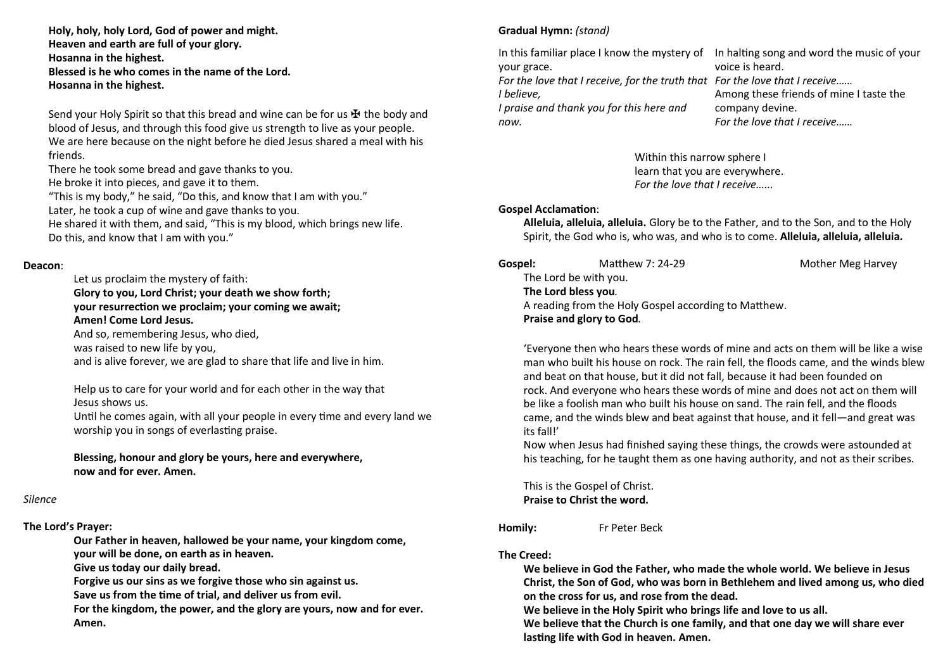**Holy, holy, holy Lord, God of power and might. Heaven and earth are full of your glory. Hosanna in the highest. Blessed is he who comes in the name of the Lord. Hosanna in the highest.** 

Send your Holy Spirit so that this bread and wine can be for us  $\mathbf{\mathbf{\mathbf{\mathbf{\mathsf{F}}}}}$  the body and blood of Jesus, and through this food give us strength to live as your people. We are here because on the night before he died Jesus shared a meal with his friends.

There he took some bread and gave thanks to you.

He broke it into pieces, and gave it to them.

"This is my body," he said, "Do this, and know that I am with you." Later, he took a cup of wine and gave thanks to you.

He shared it with them, and said, "This is my blood, which brings new life. Do this, and know that I am with you."

#### **Deacon**:

Let us proclaim the mystery of faith: **Glory to you, Lord Christ; your death we show forth; your resurrection we proclaim; your coming we await; Amen! Come Lord Jesus.** 

And so, remembering Jesus, who died,

was raised to new life by you,

and is alive forever, we are glad to share that life and live in him.

Help us to care for your world and for each other in the way that Jesus shows us.

Until he comes again, with all your people in every time and every land we worship you in songs of everlasting praise.

**Blessing, honour and glory be yours, here and everywhere, now and for ever. Amen.** 

### *Silence*

### **The Lord's Prayer:**

**Our Father in heaven, hallowed be your name, your kingdom come, your will be done, on earth as in heaven.** 

**Give us today our daily bread.** 

**Forgive us our sins as we forgive those who sin against us.** 

**Save us from the time of trial, and deliver us from evil.** 

**For the kingdom, the power, and the glory are yours, now and for ever. Amen.** 

# **Gradual Hymn:** *(stand)*

In this familiar place I know the mystery of In halting song and word the music of your your grace. *For the love that I receive, for the truth that For the love that I receive…… I believe, I praise and thank you for this here and now.* voice is heard. Among these friends of mine I taste the company devine. *For the love that I receive……*

> Within this narrow sphere I learn that you are everywhere. *For the love that I receive…...*

#### **Gospel Acclamation**:

**Alleluia, alleluia, alleluia.** Glory be to the Father, and to the Son, and to the Holy Spirit, the God who is, who was, and who is to come. **Alleluia, alleluia, alleluia.**

| Gospel: | Matthew 7: 24-29                                     | Mother Meg Harvey |
|---------|------------------------------------------------------|-------------------|
|         | The Lord be with you.                                |                   |
|         | The Lord bless you.                                  |                   |
|         | A reading from the Holy Gospel according to Matthew. |                   |
|         | Praise and glory to God.                             |                   |

'Everyone then who hears these words of mine and acts on them will be like a wise man who built his house on rock. The rain fell, the floods came, and the winds blew and beat on that house, but it did not fall, because it had been founded on rock. And everyone who hears these words of mine and does not act on them will be like a foolish man who built his house on sand. The rain fell, and the floods came, and the winds blew and beat against that house, and it fell—and great was its fall!'

Now when Jesus had finished saying these things, the crowds were astounded at his teaching, for he taught them as one having authority, and not as their scribes.

This is the Gospel of Christ. **Praise to Christ the word.**

**Homily:** Fr Peter Beck

# **The Creed:**

**We believe in God the Father, who made the whole world. We believe in Jesus Christ, the Son of God, who was born in Bethlehem and lived among us, who died on the cross for us, and rose from the dead.** 

**We believe in the Holy Spirit who brings life and love to us all.**

**We believe that the Church is one family, and that one day we will share ever lasting life with God in heaven. Amen.**